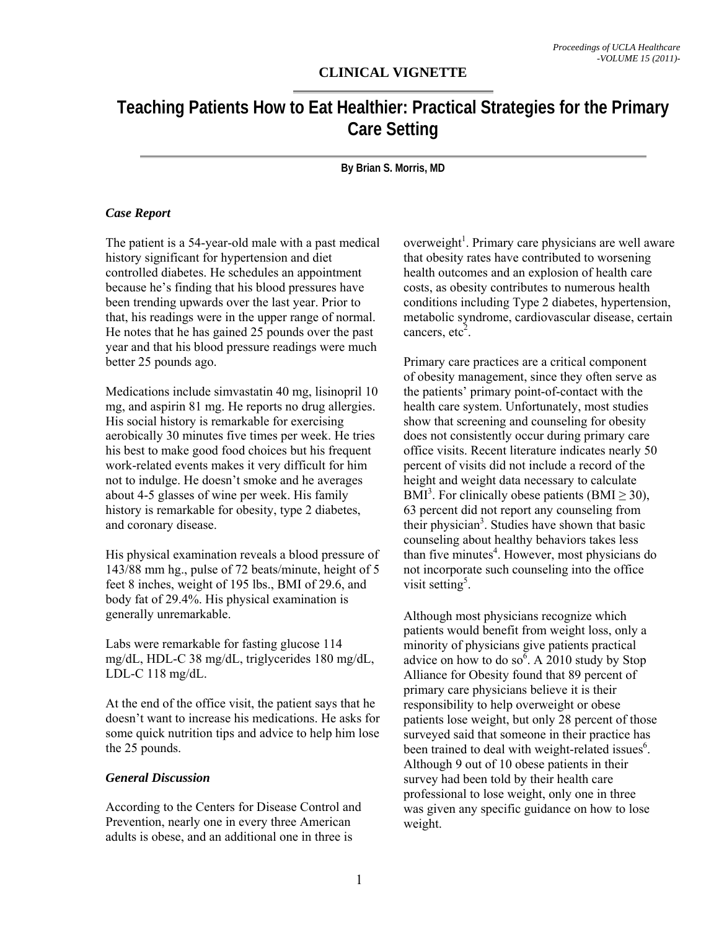## **CLINICAL VIGNETTE**

# **Teaching Patients How to Eat Healthier: Practical Strategies for the Primary Care Setting**

**By Brian S. Morris, MD** 

#### *Case Report*

The patient is a 54-year-old male with a past medical history significant for hypertension and diet controlled diabetes. He schedules an appointment because he's finding that his blood pressures have been trending upwards over the last year. Prior to that, his readings were in the upper range of normal. He notes that he has gained 25 pounds over the past year and that his blood pressure readings were much better 25 pounds ago.

Medications include simvastatin 40 mg, lisinopril 10 mg, and aspirin 81 mg. He reports no drug allergies. His social history is remarkable for exercising aerobically 30 minutes five times per week. He tries his best to make good food choices but his frequent work-related events makes it very difficult for him not to indulge. He doesn't smoke and he averages about 4-5 glasses of wine per week. His family history is remarkable for obesity, type 2 diabetes, and coronary disease.

His physical examination reveals a blood pressure of 143/88 mm hg., pulse of 72 beats/minute, height of 5 feet 8 inches, weight of 195 lbs., BMI of 29.6, and body fat of 29.4%. His physical examination is generally unremarkable.

Labs were remarkable for fasting glucose 114 mg/dL, HDL-C 38 mg/dL, triglycerides 180 mg/dL, LDL-C 118 mg/dL.

At the end of the office visit, the patient says that he doesn't want to increase his medications. He asks for some quick nutrition tips and advice to help him lose the 25 pounds.

#### *General Discussion*

According to the Centers for Disease Control and Prevention, nearly one in every three American adults is obese, and an additional one in three is

overweight<sup>1</sup>. Primary care physicians are well aware that obesity rates have contributed to worsening health outcomes and an explosion of health care costs, as obesity contributes to numerous health conditions including Type 2 diabetes, hypertension, metabolic syndrome, cardiovascular disease, certain cancers,  $etc<sup>2</sup>$ .

Primary care practices are a critical component of obesity management, since they often serve as the patients' primary point-of-contact with the health care system. Unfortunately, most studies show that screening and counseling for obesity does not consistently occur during primary care office visits. Recent literature indicates nearly 50 percent of visits did not include a record of the height and weight data necessary to calculate  $BMI^3$ . For clinically obese patients (BMI  $\geq$  30), 63 percent did not report any counseling from their physician<sup>3</sup>. Studies have shown that basic counseling about healthy behaviors takes less than five minutes<sup>4</sup>. However, most physicians do not incorporate such counseling into the office visit setting<sup>5</sup>.

Although most physicians recognize which patients would benefit from weight loss, only a minority of physicians give patients practical advice on how to do so<sup> $\overline{6}$ </sup>. A 2010 study by Stop Alliance for Obesity found that 89 percent of primary care physicians believe it is their responsibility to help overweight or obese patients lose weight, but only 28 percent of those surveyed said that someone in their practice has been trained to deal with weight-related issues<sup>6</sup>. Although 9 out of 10 obese patients in their survey had been told by their health care professional to lose weight, only one in three was given any specific guidance on how to lose weight.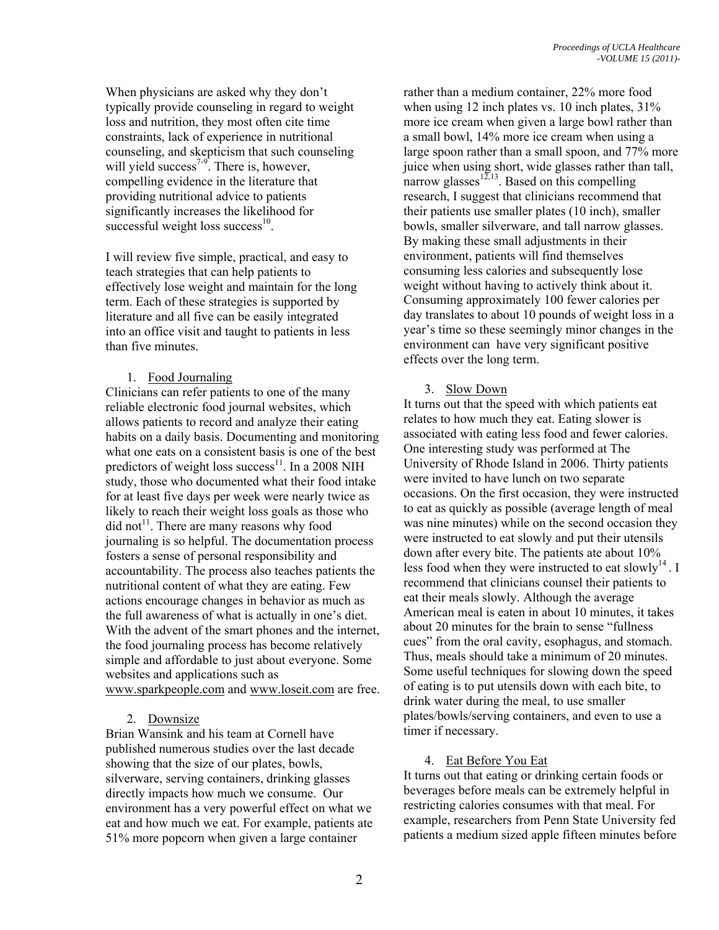When physicians are asked why they don't typically provide counseling in regard to weight loss and nutrition, they most often cite time constraints, lack of experience in nutritional counseling, and skepticism that such counseling will yield success<sup>7-9</sup>. There is, however, compelling evidence in the literature that providing nutritional advice to patients significantly increases the likelihood for successful weight loss success $^{10}$ .

I will review five simple, practical, and easy to teach strategies that can help patients to effectively lose weight and maintain for the long term. Each of these strategies is supported by literature and all five can be easily integrated into an office visit and taught to patients in less than five minutes.

## 1. Food Journaling

Clinicians can refer patients to one of the many reliable electronic food journal websites, which allows patients to record and analyze their eating habits on a daily basis. Documenting and monitoring what one eats on a consistent basis is one of the best predictors of weight loss success<sup>11</sup>. In a 2008 NIH study, those who documented what their food intake for at least five days per week were nearly twice as likely to reach their weight loss goals as those who  $\text{did not}$ <sup>11</sup>. There are many reasons why food journaling is so helpful. The documentation process fosters a sense of personal responsibility and accountability. The process also teaches patients the nutritional content of what they are eating. Few actions encourage changes in behavior as much as the full awareness of what is actually in one's diet. With the advent of the smart phones and the internet, the food journaling process has become relatively simple and affordable to just about everyone. Some websites and applications such as www.sparkpeople.com and www.loseit.com are free.

#### 2. Downsize

Brian Wansink and his team at Cornell have published numerous studies over the last decade showing that the size of our plates, bowls, silverware, serving containers, drinking glasses directly impacts how much we consume. Our environment has a very powerful effect on what we eat and how much we eat. For example, patients ate 51% more popcorn when given a large container

rather than a medium container, 22% more food when using 12 inch plates vs. 10 inch plates,  $31\%$ more ice cream when given a large bowl rather than a small bowl, 14% more ice cream when using a large spoon rather than a small spoon, and 77% more juice when using short, wide glasses rather than tall, narrow glasses $12,13$ . Based on this compelling research, I suggest that clinicians recommend that their patients use smaller plates (10 inch), smaller bowls, smaller silverware, and tall narrow glasses. By making these small adjustments in their environment, patients will find themselves consuming less calories and subsequently lose weight without having to actively think about it. Consuming approximately 100 fewer calories per day translates to about 10 pounds of weight loss in a year's time so these seemingly minor changes in the environment can have very significant positive effects over the long term.

## 3. Slow Down

It turns out that the speed with which patients eat relates to how much they eat. Eating slower is associated with eating less food and fewer calories. One interesting study was performed at The University of Rhode Island in 2006. Thirty patients were invited to have lunch on two separate occasions. On the first occasion, they were instructed to eat as quickly as possible (average length of meal was nine minutes) while on the second occasion they were instructed to eat slowly and put their utensils down after every bite. The patients ate about 10% less food when they were instructed to eat slowly<sup>14</sup>. I recommend that clinicians counsel their patients to eat their meals slowly. Although the average American meal is eaten in about 10 minutes, it takes about 20 minutes for the brain to sense "fullness cues" from the oral cavity, esophagus, and stomach. Thus, meals should take a minimum of 20 minutes. Some useful techniques for slowing down the speed of eating is to put utensils down with each bite, to drink water during the meal, to use smaller plates/bowls/serving containers, and even to use a timer if necessary.

#### 4. Eat Before You Eat

It turns out that eating or drinking certain foods or beverages before meals can be extremely helpful in restricting calories consumes with that meal. For example, researchers from Penn State University fed patients a medium sized apple fifteen minutes before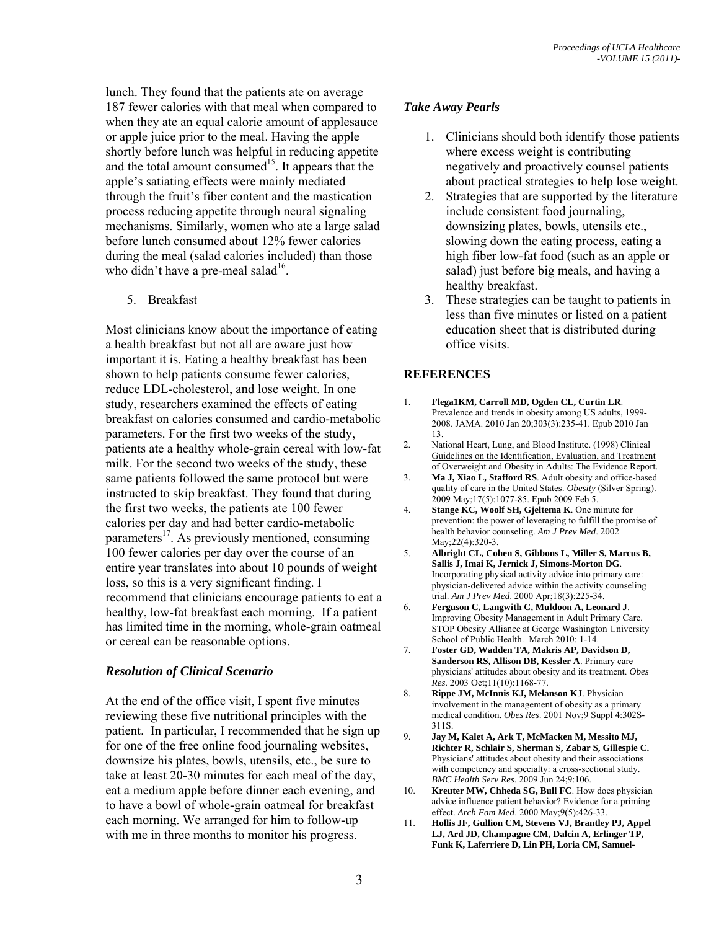lunch. They found that the patients ate on average 187 fewer calories with that meal when compared to when they ate an equal calorie amount of applesauce or apple juice prior to the meal. Having the apple shortly before lunch was helpful in reducing appetite and the total amount consumed<sup>15</sup>. It appears that the apple's satiating effects were mainly mediated through the fruit's fiber content and the mastication process reducing appetite through neural signaling mechanisms. Similarly, women who ate a large salad before lunch consumed about 12% fewer calories during the meal (salad calories included) than those who didn't have a pre-meal salad $16$ .

5. Breakfast

Most clinicians know about the importance of eating a health breakfast but not all are aware just how important it is. Eating a healthy breakfast has been shown to help patients consume fewer calories, reduce LDL-cholesterol, and lose weight. In one study, researchers examined the effects of eating breakfast on calories consumed and cardio-metabolic parameters. For the first two weeks of the study, patients ate a healthy whole-grain cereal with low-fat milk. For the second two weeks of the study, these same patients followed the same protocol but were instructed to skip breakfast. They found that during the first two weeks, the patients ate 100 fewer calories per day and had better cardio-metabolic parameters $^{17}$ . As previously mentioned, consuming 100 fewer calories per day over the course of an entire year translates into about 10 pounds of weight loss, so this is a very significant finding. I recommend that clinicians encourage patients to eat a healthy, low-fat breakfast each morning. If a patient has limited time in the morning, whole-grain oatmeal or cereal can be reasonable options.

## *Resolution of Clinical Scenario*

At the end of the office visit, I spent five minutes reviewing these five nutritional principles with the patient. In particular, I recommended that he sign up for one of the free online food journaling websites, downsize his plates, bowls, utensils, etc., be sure to take at least 20-30 minutes for each meal of the day, eat a medium apple before dinner each evening, and to have a bowl of whole-grain oatmeal for breakfast each morning. We arranged for him to follow-up with me in three months to monitor his progress.

## *Take Away Pearls*

- 1. Clinicians should both identify those patients where excess weight is contributing negatively and proactively counsel patients about practical strategies to help lose weight.
- 2. Strategies that are supported by the literature include consistent food journaling, downsizing plates, bowls, utensils etc., slowing down the eating process, eating a high fiber low-fat food (such as an apple or salad) just before big meals, and having a healthy breakfast.
- 3. These strategies can be taught to patients in less than five minutes or listed on a patient education sheet that is distributed during office visits.

## **REFERENCES**

- 1. **Flega1KM, Carroll MD, Ogden CL, Curtin LR**. Prevalence and trends in obesity among US adults, 1999- 2008. JAMA. 2010 Jan 20;303(3):235-41. Epub 2010 Jan 13.
- 2. National Heart, Lung, and Blood Institute. (1998) Clinical Guidelines on the Identification, Evaluation, and Treatment of Overweight and Obesity in Adults: The Evidence Report.
- 3. **Ma J, Xiao L, Stafford RS**. Adult obesity and office-based quality of care in the United States. *Obesity* (Silver Spring). 2009 May;17(5):1077-85. Epub 2009 Feb 5.
- 4. **Stange KC, Woolf SH, Gjeltema K**. One minute for prevention: the power of leveraging to fulfill the promise of health behavior counseling. *Am J Prev Med*. 2002 May;22(4):320-3.
- 5. **Albright CL, Cohen S, Gibbons L, Miller S, Marcus B, Sallis J, Imai K, Jernick J, Simons-Morton DG**. Incorporating physical activity advice into primary care: physician-delivered advice within the activity counseling trial. *Am J Prev Med*. 2000 Apr;18(3):225-34.
- 6. **Ferguson C, Langwith C, Muldoon A, Leonard J**. Improving Obesity Management in Adult Primary Care. STOP Obesity Alliance at George Washington University School of Public Health. March 2010: 1-14.
- 7. **Foster GD, Wadden TA, Makris AP, Davidson D, Sanderson RS, Allison DB, Kessler A**. Primary care physicians' attitudes about obesity and its treatment. *Obes Res*. 2003 Oct;11(10):1168-77.
- 8. **Rippe JM, McInnis KJ, Melanson KJ**. Physician involvement in the management of obesity as a primary medical condition. *Obes Res*. 2001 Nov;9 Suppl 4:302S-311S.
- 9. **Jay M, Kalet A, Ark T, McMacken M, Messito MJ, Richter R, Schlair S, Sherman S, Zabar S, Gillespie C.** Physicians' attitudes about obesity and their associations with competency and specialty: a cross-sectional study. *BMC Health Serv Res*. 2009 Jun 24;9:106.
- 10. **Kreuter MW, Chheda SG, Bull FC**. How does physician advice influence patient behavior? Evidence for a priming effect. *Arch Fam Med*. 2000 May;9(5):426-33.
- 11. **Hollis JF, Gullion CM, Stevens VJ, Brantley PJ, Appel LJ, Ard JD, Champagne CM, Dalcin A, Erlinger TP, Funk K, Laferriere D, Lin PH, Loria CM, Samuel-**